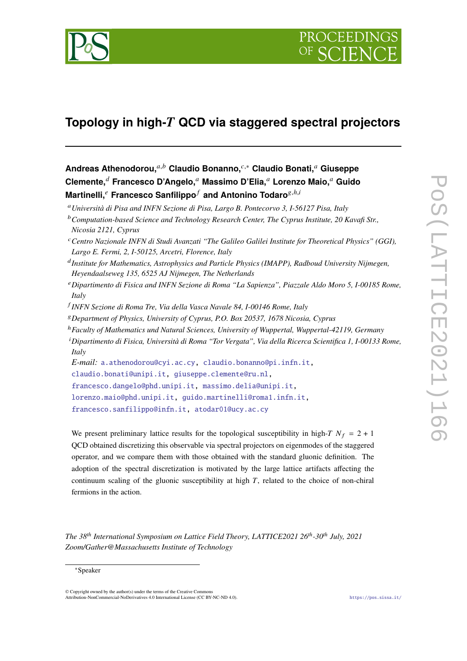

# Topology in high-T QCD via staggered spectral projectors

```
Andreas Athenodorou,<sup>a,b</sup> Claudio Bonanno,<sup>c,∗</sup> Claudio Bonati,<sup>a</sup> Giuseppe
Clemente, Francesco D'Angelo, Massimo D'Elia, Lorenzo Maio, Guido
Martinelli, Francesco Sanfilippo f and Antonino Todarog,h,i
```
- *Centro Nazionale INFN di Studi Avanzati "The Galileo Galilei Institute for Theoretical Physics" (GGI), Largo E. Fermi, 2, I-50125, Arcetri, Florence, Italy*
- *Institute for Mathematics, Astrophysics and Particle Physics (IMAPP), Radboud University Nijmegen, Heyendaalseweg 135, 6525 AJ Nijmegen, The Netherlands*
- *Dipartimento di Fisica and INFN Sezione di Roma "La Sapienza", Piazzale Aldo Moro 5, I-00185 Rome, Italy*
- *INFN Sezione di Roma Tre, Via della Vasca Navale 84, I-00146 Rome, Italy*
- *Department of Physics, University of Cyprus, P.O. Box 20537, 1678 Nicosia, Cyprus*
- <sup>ℎ</sup>*Faculty of Mathematics und Natural Sciences, University of Wuppertal, Wuppertal-42119, Germany*
- *Dipartimento di Fisica, Università di Roma "Tor Vergata", Via della Ricerca Scientifica 1, I-00133 Rome, Italy*

*E-mail:* [a.athenodorou@cyi.ac.cy,](mailto:a.athenodorou@cyi.ac.cy) [claudio.bonanno@pi.infn.it,](mailto:claudio.bonanno@pi.infn.it)

[claudio.bonati@unipi.it,](mailto:claudio.bonati@unipi.it) [giuseppe.clemente@ru.nl,](mailto:giuseppe.clemente@ru.nl)

[francesco.dangelo@phd.unipi.it,](mailto:francesco.dangelo@phd.unipi.it) [massimo.delia@unipi.it,](mailto:massimo.delia@unipi.it)

[lorenzo.maio@phd.unipi.it,](mailto:lorenzo.maio@phd.unipi.it) [guido.martinelli@roma1.infn.it,](mailto:guido.martinelli@roma1.infn.it)

[francesco.sanfilippo@infn.it,](mailto:francesco.sanfilippo@infn.it) [atodar01@ucy.ac.cy](mailto:atodar01@ucy.ac.cy)

We present preliminary lattice results for the topological susceptibility in high- $TN_f = 2 + 1$ QCD obtained discretizing this observable via spectral projectors on eigenmodes of the staggered operator, and we compare them with those obtained with the standard gluonic definition. The adoption of the spectral discretization is motivated by the large lattice artifacts affecting the continuum scaling of the gluonic susceptibility at high  $T$ , related to the choice of non-chiral fermions in the action.

*The 38th International Symposium on Lattice Field Theory, LATTICE2021 26th-30th July, 2021 Zoom/Gather@Massachusetts Institute of Technology*

*Università di Pisa and INFN Sezione di Pisa, Largo B. Pontecorvo 3, I-56127 Pisa, Italy*

*Computation-based Science and Technology Research Center, The Cyprus Institute, 20 Kavafi Str., Nicosia 2121, Cyprus*

<sup>∗</sup>Speaker

<sup>©</sup> Copyright owned by the author(s) under the terms of the Creative Commons Attribution-NonCommercial-NoDerivatives 4.0 International License (CC BY-NC-ND 4.0). <https://pos.sissa.it/>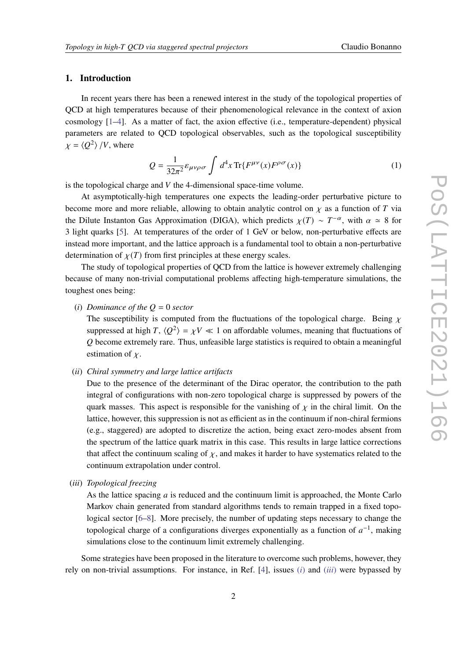## **1. Introduction**

In recent years there has been a renewed interest in the study of the topological properties of QCD at high temperatures because of their phenomenological relevance in the context of axion cosmology  $[1-4]$  $[1-4]$ . As a matter of fact, the axion effective (i.e., temperature-dependent) physical parameters are related to QCD topological observables, such as the topological susceptibility  $\chi = \langle Q^2 \rangle / V$ , where

<span id="page-1-3"></span>
$$
Q = \frac{1}{32\pi^2} \varepsilon_{\mu\nu\rho\sigma} \int d^4x \operatorname{Tr} \{ F^{\mu\nu}(x) F^{\rho\sigma}(x) \}
$$
 (1)

is the topological charge and  $V$  the 4-dimensional space-time volume.

At asymptotically-high temperatures one expects the leading-order perturbative picture to become more and more reliable, allowing to obtain analytic control on  $\chi$  as a function of  $T$  via the Dilute Instanton Gas Approximation (DIGA), which predicts  $\chi(T) \sim T^{-\alpha}$ , with  $\alpha \approx 8$  for 3 light quarks [\[5\]](#page-8-1). At temperatures of the order of 1 GeV or below, non-perturbative effects are instead more important, and the lattice approach is a fundamental tool to obtain a non-perturbative determination of  $\chi(T)$  from first principles at these energy scales.

The study of topological properties of QCD from the lattice is however extremely challenging because of many non-trivial computational problems affecting high-temperature simulations, the toughest ones being:

### <span id="page-1-0"></span>(*i*) *Dominance of the*  $Q = 0$  *sector*

The susceptibility is computed from the fluctuations of the topological charge. Being  $\chi$ suppressed at high T,  $\langle Q^2 \rangle = \chi V \ll 1$  on affordable volumes, meaning that fluctuations of  $\rho$  become extremely rare. Thus, unfeasible large statistics is required to obtain a meaningful estimation of  $\chi$ .

<span id="page-1-2"></span>(*ii*) *Chiral symmetry and large lattice artifacts*

Due to the presence of the determinant of the Dirac operator, the contribution to the path integral of configurations with non-zero topological charge is suppressed by powers of the quark masses. This aspect is responsible for the vanishing of  $\chi$  in the chiral limit. On the lattice, however, this suppression is not as efficient as in the continuum if non-chiral fermions (e.g., staggered) are adopted to discretize the action, being exact zero-modes absent from the spectrum of the lattice quark matrix in this case. This results in large lattice corrections that affect the continuum scaling of  $\chi$ , and makes it harder to have systematics related to the continuum extrapolation under control.

<span id="page-1-1"></span>(*iii*) *Topological freezing*

As the lattice spacing  $\alpha$  is reduced and the continuum limit is approached, the Monte Carlo Markov chain generated from standard algorithms tends to remain trapped in a fixed topological sector [\[6](#page-8-2)[–8\]](#page-8-3). More precisely, the number of updating steps necessary to change the topological charge of a configurations diverges exponentially as a function of  $a^{-1}$ , making simulations close to the continuum limit extremely challenging.

Some strategies have been proposed in the literature to overcome such problems, however, they rely on non-trivial assumptions. For instance, in Ref. [\[4\]](#page-8-0), issues [\(](#page-1-0)*i*) and (*[iii](#page-1-1)*) were bypassed by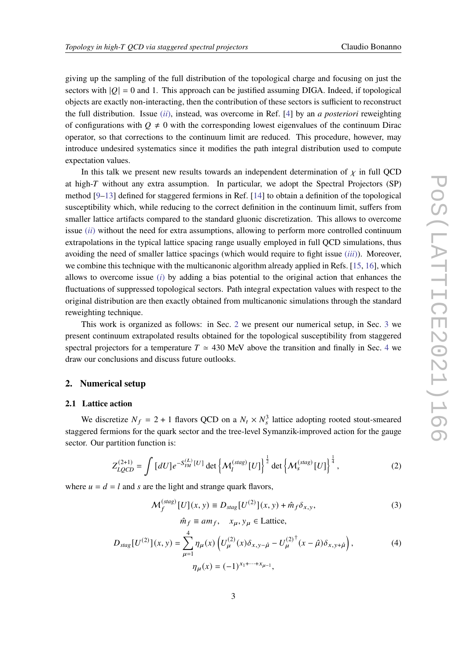giving up the sampling of the full distribution of the topological charge and focusing on just the sectors with  $|Q| = 0$  and 1. This approach can be justified assuming DIGA. Indeed, if topological objects are exactly non-interacting, then the contribution of these sectors is sufficient to reconstruct the full distribution. Issue (*[ii](#page-1-2)*), instead, was overcome in Ref. [\[4\]](#page-8-0) by an *a posteriori* reweighting of configurations with  $0 \neq 0$  with the corresponding lowest eigenvalues of the continuum Dirac operator, so that corrections to the continuum limit are reduced. This procedure, however, may introduce undesired systematics since it modifies the path integral distribution used to compute expectation values.

In this talk we present new results towards an independent determination of  $\chi$  in full QCD at high- $T$  without any extra assumption. In particular, we adopt the Spectral Projectors (SP) method [\[9–](#page-8-4)[13\]](#page-8-5) defined for staggered fermions in Ref. [\[14\]](#page-8-6) to obtain a definition of the topological susceptibility which, while reducing to the correct definition in the continuum limit, suffers from smaller lattice artifacts compared to the standard gluonic discretization. This allows to overcome issue (*[ii](#page-1-2)*) without the need for extra assumptions, allowing to perform more controlled continuum extrapolations in the typical lattice spacing range usually employed in full QCD simulations, thus avoiding the need of smaller lattice spacings (which would require to fight issue (*[iii](#page-1-1)*)). Moreover, we combine this technique with the multicanonic algorithm already applied in Refs. [\[15,](#page-8-7) [16\]](#page-8-8), which allows to overcome issue [\(](#page-1-0)*i*) by adding a bias potential to the original action that enhances the fluctuations of suppressed topological sectors. Path integral expectation values with respect to the original distribution are then exactly obtained from multicanonic simulations through the standard reweighting technique.

This work is organized as follows: in Sec. [2](#page-2-0) we present our numerical setup, in Sec. [3](#page-5-0) we present continuum extrapolated results obtained for the topological susceptibility from staggered spectral projectors for a temperature  $T \approx 430$  $T \approx 430$  $T \approx 430$  MeV above the transition and finally in Sec. 4 we draw our conclusions and discuss future outlooks.

## <span id="page-2-0"></span>**2. Numerical setup**

#### **2.1 Lattice action**

We discretize  $N_f = 2 + 1$  flavors QCD on a  $N_t \times N_s^3$  lattice adopting rooted stout-smeared staggered fermions for the quark sector and the tree-level Symanzik-improved action for the gauge sector. Our partition function is:

<span id="page-2-1"></span>
$$
Z_{LQCD}^{(2+1)} = \int [dU] e^{-S_{YM}^{(L)}[U]} \det \left\{ \mathcal{M}_l^{(stag)}[U] \right\}^{\frac{1}{2}} \det \left\{ \mathcal{M}_s^{(stag)}[U] \right\}^{\frac{1}{4}}, \tag{2}
$$

where  $u = d = l$  and s are the light and strange quark flavors,

<span id="page-2-2"></span>
$$
\mathcal{M}_f^{(stag)}[U](x, y) \equiv D_{stag}[U^{(2)}](x, y) + \hat{m}_f \delta_{x, y}, \tag{3}
$$

$$
\hat{m}_f \equiv am_f, \quad x_\mu, y_\mu \in \text{Lattice},
$$
\n
$$
D_{stag}[U^{(2)}](x, y) = \sum_{\mu=1}^4 \eta_\mu(x) \left( U^{(2)}_\mu(x) \delta_{x, y - \hat{\mu}} - U^{(2)}_\mu(x) + (x - \hat{\mu}) \delta_{x, y + \hat{\mu}} \right),
$$
\n
$$
\eta_\mu(x) = (-1)^{x_1 + \dots + x_{\mu-1}},
$$
\n(4)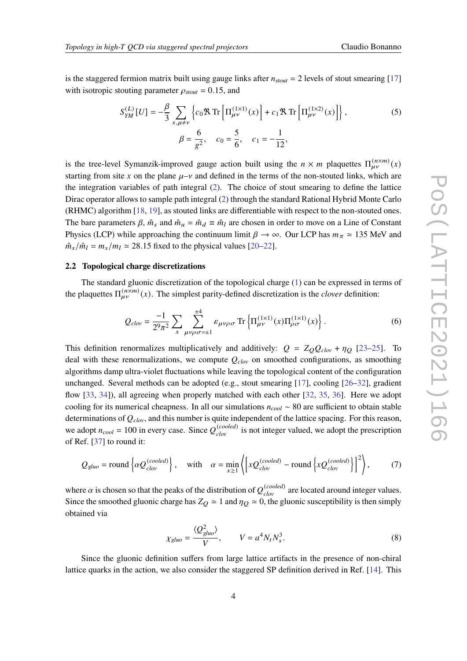is the staggered fermion matrix built using gauge links after  $n_{slow} = 2$  levels of stout smearing [\[17\]](#page-8-9) with isotropic stouting parameter  $\rho_{\text{stout}} = 0.15$ , and

$$
S_{YM}^{(L)}[U] = -\frac{\beta}{3} \sum_{x,\mu \neq \nu} \left\{ c_0 \mathfrak{R} \text{ Tr} \left[ \Pi_{\mu\nu}^{(1\times1)}(x) \right] + c_1 \mathfrak{R} \text{ Tr} \left[ \Pi_{\mu\nu}^{(1\times2)}(x) \right] \right\},
$$
  
\n
$$
\beta = \frac{6}{g^2}, \quad c_0 = \frac{5}{6}, \quad c_1 = -\frac{1}{12},
$$
\n(5)

is the tree-level Symanzik-improved gauge action built using the  $n \times m$  plaquettes  $\Pi_{\mu\nu}^{(n \times m)}(x)$ starting from site x on the plane  $\mu-\nu$  and defined in the terms of the non-stouted links, which are the integration variables of path integral [\(2\)](#page-2-1). The choice of stout smearing to define the lattice Dirac operator allows to sample path integral [\(2\)](#page-2-1) through the standard Rational Hybrid Monte Carlo (RHMC) algorithm [\[18,](#page-9-0) [19\]](#page-9-1), as stouted links are differentiable with respect to the non-stouted ones. The bare parameters  $\beta$ ,  $\hat{m}_s$  and  $\hat{m}_u = \hat{m}_d \equiv \hat{m}_l$  are chosen in order to move on a Line of Constant Physics (LCP) while approaching the continuum limit  $\beta \to \infty$ . Our LCP has  $m_{\pi} \approx 135$  MeV and  $\hat{m}_s / \hat{m}_l = m_s / m_l \approx 28.15$  fixed to the physical values [\[20](#page-9-2)[–22\]](#page-9-3).

#### **2.2 Topological charge discretizations**

The standard gluonic discretization of the topological charge [\(1\)](#page-1-3) can be expressed in terms of the plaquettes  $\Pi_{\mu\nu}^{(n \times m)}(x)$ . The simplest parity-defined discretization is the *clover* definition:

<span id="page-3-0"></span>
$$
Q_{clov} = \frac{-1}{2^9 \pi^2} \sum_{x} \sum_{\mu\nu\rho\sigma=\pm 1}^{\pm 4} \varepsilon_{\mu\nu\rho\sigma} \operatorname{Tr} \left\{ \Pi_{\mu\nu}^{(1\times1)}(x) \Pi_{\rho\sigma}^{(1\times1)}(x) \right\}.
$$
 (6)

This definition renormalizes multiplicatively and additively:  $Q = Z_O Q_{clov} + \eta_O$  [\[23–](#page-9-4)[25\]](#page-9-5). To deal with these renormalizations, we compute  $Q_{clov}$  on smoothed configurations, as smoothing algorithms damp ultra-violet fluctuations while leaving the topological content of the configuration unchanged. Several methods can be adopted (e.g., stout smearing [\[17\]](#page-8-9), cooling  $[26-32]$  $[26-32]$ , gradient flow [\[33,](#page-10-0) [34\]](#page-10-1)), all agreeing when properly matched with each other [\[32,](#page-9-7) [35,](#page-10-2) [36\]](#page-10-3). Here we adopt cooling for its numerical cheapness. In all our simulations *n<sub>cool</sub>* ∼ 80 are sufficient to obtain stable determinations of  $Q_{\text{clov}}$ , and this number is quite independent of the lattice spacing. For this reason, we adopt  $n_{cool} = 100$  in every case. Since  $Q_{clov}^{(cooled)}$  is not integer valued, we adopt the prescription of Ref. [\[37\]](#page-10-4) to round it:

$$
Q_{gluo} = \text{round}\left\{\alpha Q_{clov}^{(cooled)}\right\}, \quad \text{with} \quad \alpha = \min_{x \ge 1} \left\{ \left[ xQ_{clov}^{(cooled)} - \text{round}\left\{ xQ_{clov}^{(cooled)}\right\} \right]^2 \right\}, \tag{7}
$$

where  $\alpha$  is chosen so that the peaks of the distribution of  $Q_{clov}^{(cooled)}$  are located around integer values. Since the smoothed gluonic charge has  $Z_Q \approx 1$  and  $\eta_Q \approx 0$ , the gluonic susceptibility is then simply obtained via

$$
\chi_{gluo} = \frac{\langle Q_{gluo}^2 \rangle}{V}, \qquad V = a^4 N_t N_s^3. \tag{8}
$$

Since the gluonic definition suffers from large lattice artifacts in the presence of non-chiral lattice quarks in the action, we also consider the staggered SP definition derived in Ref. [\[14\]](#page-8-6). This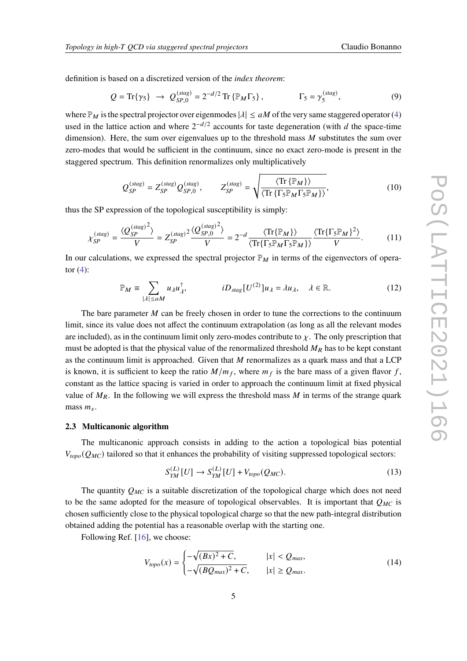definition is based on a discretized version of the *index theorem*:

$$
Q = \text{Tr}\{\gamma_5\} \rightarrow Q_{SP,0}^{(stag)} = 2^{-d/2} \text{Tr}\left\{\mathbb{P}_M \Gamma_5\right\}, \qquad \Gamma_5 = \gamma_5^{(stag)}, \qquad (9)
$$

where  $\mathbb{P}_M$  is the spectral projector over eigenmodes  $|\lambda| \le aM$  of the very same staggered operator [\(4\)](#page-2-2) used in the lattice action and where  $2^{-d/2}$  accounts for taste degeneration (with d the space-time dimension). Here, the sum over eigenvalues up to the threshold mass  $M$  substitutes the sum over zero-modes that would be sufficient in the continuum, since no exact zero-mode is present in the staggered spectrum. This definition renormalizes only multiplicatively

$$
Q_{SP}^{(stag)} = Z_{SP}^{(stag)} Q_{SP,0}^{(stag)}, \qquad Z_{SP}^{(stag)} = \sqrt{\frac{\langle \text{Tr} \{ \mathbb{P}_M \} \rangle}{\langle \text{Tr} \{ \Gamma_5 \mathbb{P}_M \Gamma_5 \mathbb{P}_M \} \rangle}}, \tag{10}
$$

thus the SP expression of the topological susceptibility is simply:

$$
\chi_{SP}^{(stag)} = \frac{\langle Q_{SP}^{(stag)}^2 \rangle}{V} = Z_{SP}^{(stag)}^2 \frac{\langle Q_{SP,0}^{(stag)}^2 \rangle}{V} = 2^{-d} \frac{\langle \text{Tr}\{\mathbb{P}_M\} \rangle}{\langle \text{Tr}\{\Gamma_5 \mathbb{P}_M \Gamma_5 \mathbb{P}_M\} \rangle} \frac{\langle \text{Tr}\{\Gamma_5 \mathbb{P}_M\}^2 \rangle}{V}.
$$
(11)

In our calculations, we expressed the spectral projector  $\mathbb{P}_M$  in terms of the eigenvectors of operator  $(4)$ :

$$
\mathbb{P}_M \equiv \sum_{|\lambda| \le aM} u_{\lambda} u_{\lambda}^{\dagger}, \qquad \qquad iD_{stag}[U^{(2)}]u_{\lambda} = \lambda u_{\lambda}, \quad \lambda \in \mathbb{R}. \tag{12}
$$

The bare parameter  $M$  can be freely chosen in order to tune the corrections to the continuum limit, since its value does not affect the continuum extrapolation (as long as all the relevant modes are included), as in the continuum limit only zero-modes contribute to  $\chi$ . The only prescription that must be adopted is that the physical value of the renormalized threshold  $M_R$  has to be kept constant as the continuum limit is approached. Given that  $M$  renormalizes as a quark mass and that a LCP is known, it is sufficient to keep the ratio  $M/m_f$ , where  $m_f$  is the bare mass of a given flavor f, constant as the lattice spacing is varied in order to approach the continuum limit at fixed physical value of  $M_R$ . In the following we will express the threshold mass M in terms of the strange quark mass  $m_s$ .

#### **2.3 Multicanonic algorithm**

The multicanonic approach consists in adding to the action a topological bias potential  $V_{topo}(Q_{MC})$  tailored so that it enhances the probability of visiting suppressed topological sectors:

$$
S_{YM}^{(L)}[U] \to S_{YM}^{(L)}[U] + V_{topo}(Q_{MC}).
$$
\n(13)

The quantity  $Q_{MC}$  is a suitable discretization of the topological charge which does not need to be the same adopted for the measure of topological observables. It is important that  $Q_{MC}$  is chosen sufficiently close to the physical topological charge so that the new path-integral distribution obtained adding the potential has a reasonable overlap with the starting one.

Following Ref. [\[16\]](#page-8-8), we choose:

<span id="page-4-0"></span>
$$
V_{topo}(x) = \begin{cases} -\sqrt{(Bx)^2 + C}, & |x| < Q_{max}, \\ -\sqrt{(BQ_{max})^2 + C}, & |x| \ge Q_{max}. \end{cases}
$$
(14)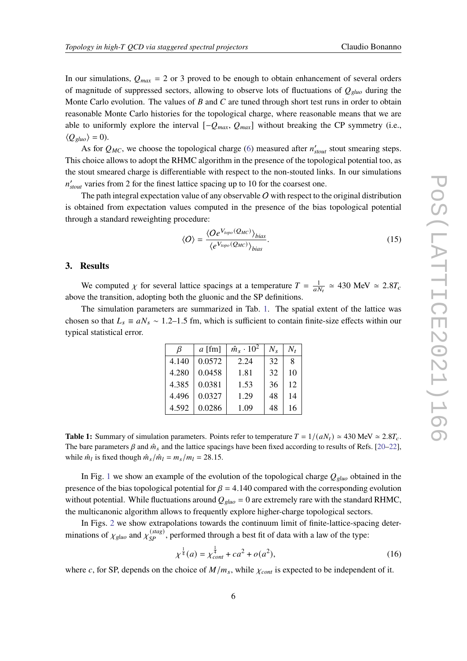In our simulations,  $Q_{max} = 2$  or 3 proved to be enough to obtain enhancement of several orders of magnitude of suppressed sectors, allowing to observe lots of fluctuations of *gluo* during the Monte Carlo evolution. The values of  $B$  and  $C$  are tuned through short test runs in order to obtain reasonable Monte Carlo histories for the topological charge, where reasonable means that we are able to uniformly explore the interval  $[-Q_{max}, Q_{max}]$  without breaking the CP symmetry (i.e.,  $\langle Q_{\text{gluo}} \rangle = 0$ ).

As for  $Q_{MC}$ , we choose the topological charge [\(6\)](#page-3-0) measured after  $n'_{stout}$  stout smearing steps. This choice allows to adopt the RHMC algorithm in the presence of the topological potential too, as the stout smeared charge is differentiable with respect to the non-stouted links. In our simulations  $n'_{\text{stout}}$  varies from 2 for the finest lattice spacing up to 10 for the coarsest one.

The path integral expectation value of any observable  $O$  with respect to the original distribution is obtained from expectation values computed in the presence of the bias topological potential through a standard reweighting procedure:

$$
\langle O \rangle = \frac{\langle O e^{V_{topo}(Q_{MC})} \rangle_{bias}}{\langle e^{V_{topo}(Q_{MC})} \rangle_{bias}}.
$$
\n(15)

#### <span id="page-5-0"></span>**3. Results**

We computed  $\chi$  for several lattice spacings at a temperature  $T = \frac{1}{aN_t} \approx 430$  MeV  $\approx 2.8T_c$ above the transition, adopting both the gluonic and the SP definitions.

<span id="page-5-1"></span>The simulation parameters are summarized in Tab. [1.](#page-5-1) The spatial extent of the lattice was chosen so that  $L_s \equiv aN_s \sim 1.2$ –1.5 fm, which is sufficient to contain finite-size effects within our typical statistical error.

| ß     | $a$ [fm] | $\hat{m}_{s} \cdot 10^{2}$ | $N_{\rm e}$ | $N_{t}$ |
|-------|----------|----------------------------|-------------|---------|
| 4.140 | 0.0572   | 2.24                       | 32          | 8       |
| 4.280 | 0.0458   | 1.81                       | 32          | 10      |
| 4.385 | 0.0381   | 1.53                       | 36          | 12      |
| 4.496 | 0.0327   | 1.29                       | 48          | 14      |
| 4.592 | 0.0286   | 1.09                       | 48          | 16      |

**Table 1:** Summary of simulation parameters. Points refer to temperature  $T = 1/(aN_t) \approx 430 \text{ MeV} \approx 2.8T_c$ . The bare parameters  $\beta$  and  $\hat{m}_s$  and the lattice spacings have been fixed according to results of Refs. [\[20](#page-9-2)[–22\]](#page-9-3), while  $\hat{m}_l$  is fixed though  $\hat{m}_s / \hat{m}_l = m_s / m_l = 28.15$ .

In Fig. [1](#page-6-0) we show an example of the evolution of the topological charge  $Q_{gluo}$  obtained in the presence of the bias topological potential for  $\beta = 4.140$  compared with the corresponding evolution without potential. While fluctuations around  $Q_{gluo} = 0$  are extremely rare with the standard RHMC, the multicanonic algorithm allows to frequently explore higher-charge topological sectors.

In Figs. [2](#page-6-1) we show extrapolations towards the continuum limit of finite-lattice-spacing determinations of  $\chi_{gluo}$  and  $\chi_{SP}^{(stag)}$ , performed through a best fit of data with a law of the type:

<span id="page-5-2"></span>
$$
\chi^{\frac{1}{4}}(a) = \chi_{cont}^{\frac{1}{4}} + ca^2 + o(a^2),\tag{16}
$$

where c, for SP, depends on the choice of  $M/m_s$ , while  $\chi_{cont}$  is expected to be independent of it.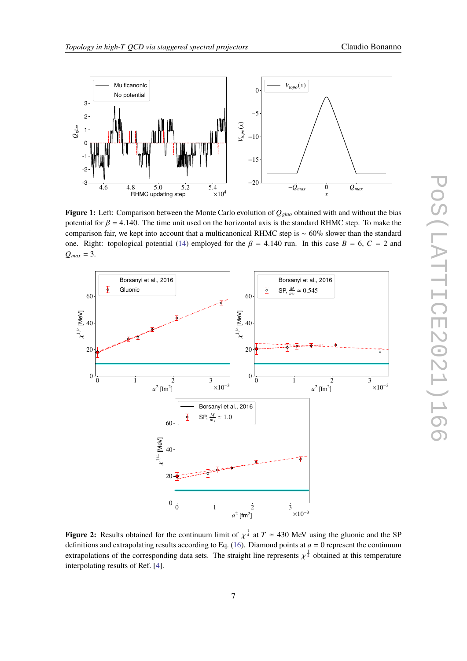<span id="page-6-0"></span>

**Figure 1:** Left: Comparison between the Monte Carlo evolution of  $Q_{gluo}$  obtained with and without the bias potential for  $\beta = 4.140$ . The time unit used on the horizontal axis is the standard RHMC step. To make the comparison fair, we kept into account that a multicanonical RHMC step is ∼ 60% slower than the standard one. Right: topological potential [\(14\)](#page-4-0) employed for the  $\beta = 4.140$  run. In this case  $B = 6$ ,  $C = 2$  and  $Q_{max} = 3$ .

<span id="page-6-1"></span>

**Figure 2:** Results obtained for the continuum limit of  $\chi^{\frac{1}{4}}$  at  $T \simeq 430$  MeV using the gluonic and the SP definitions and extrapolating results according to Eq. [\(16\)](#page-5-2). Diamond points at  $a = 0$  represent the continuum extrapolations of the corresponding data sets. The straight line represents  $\chi^{\frac{1}{4}}$  obtained at this temperature interpolating results of Ref. [\[4\]](#page-8-0).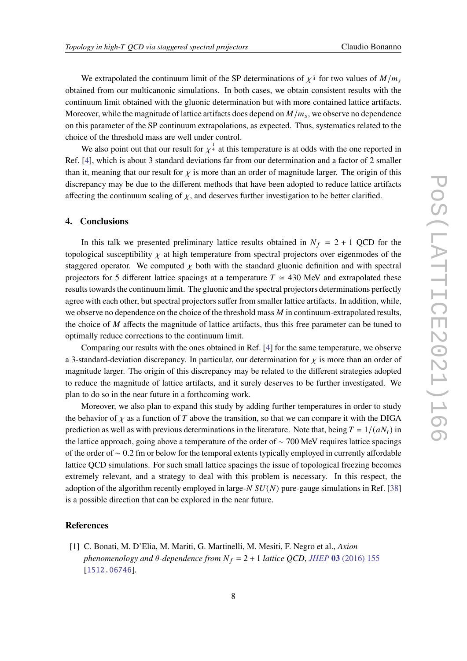We extrapolated the continuum limit of the SP determinations of  $\chi^{\frac{1}{4}}$  for two values of  $M/m_s$ obtained from our multicanonic simulations. In both cases, we obtain consistent results with the continuum limit obtained with the gluonic determination but with more contained lattice artifacts. Moreover, while the magnitude of lattice artifacts does depend on  $M/m_s$ , we observe no dependence on this parameter of the SP continuum extrapolations, as expected. Thus, systematics related to the choice of the threshold mass are well under control.

We also point out that our result for  $\chi^{\frac{1}{4}}$  at this temperature is at odds with the one reported in Ref. [\[4\]](#page-8-0), which is about 3 standard deviations far from our determination and a factor of 2 smaller than it, meaning that our result for  $\chi$  is more than an order of magnitude larger. The origin of this discrepancy may be due to the different methods that have been adopted to reduce lattice artifacts affecting the continuum scaling of  $\chi$ , and deserves further investigation to be better clarified.

## <span id="page-7-1"></span>**4. Conclusions**

In this talk we presented preliminary lattice results obtained in  $N_f = 2 + 1$  QCD for the topological susceptibility  $\chi$  at high temperature from spectral projectors over eigenmodes of the staggered operator. We computed  $\chi$  both with the standard gluonic definition and with spectral projectors for 5 different lattice spacings at a temperature  $T \approx 430$  MeV and extrapolated these results towards the continuum limit. The gluonic and the spectral projectors determinations perfectly agree with each other, but spectral projectors suffer from smaller lattice artifacts. In addition, while, we observe no dependence on the choice of the threshold mass  $M$  in continuum-extrapolated results, the choice of  $M$  affects the magnitude of lattice artifacts, thus this free parameter can be tuned to optimally reduce corrections to the continuum limit.

Comparing our results with the ones obtained in Ref. [\[4\]](#page-8-0) for the same temperature, we observe a 3-standard-deviation discrepancy. In particular, our determination for  $\chi$  is more than an order of magnitude larger. The origin of this discrepancy may be related to the different strategies adopted to reduce the magnitude of lattice artifacts, and it surely deserves to be further investigated. We plan to do so in the near future in a forthcoming work.

Moreover, we also plan to expand this study by adding further temperatures in order to study the behavior of  $\chi$  as a function of  $T$  above the transition, so that we can compare it with the DIGA prediction as well as with previous determinations in the literature. Note that, being  $T = 1/(aN<sub>t</sub>)$  in the lattice approach, going above a temperature of the order of ∼ 700 MeV requires lattice spacings of the order of ∼ 0.2 fm or below for the temporal extents typically employed in currently affordable lattice QCD simulations. For such small lattice spacings the issue of topological freezing becomes extremely relevant, and a strategy to deal with this problem is necessary. In this respect, the adoption of the algorithm recently employed in large-N  $SU(N)$  pure-gauge simulations in Ref. [\[38\]](#page-10-5) is a possible direction that can be explored in the near future.

#### **References**

<span id="page-7-0"></span>[1] C. Bonati, M. D'Elia, M. Mariti, G. Martinelli, M. Mesiti, F. Negro et al., *Axion phenomenology and*  $\theta$ *-dependence from*  $N_f = 2 + 1$  *lattice QCD*, *JHEP* 03 [\(2016\) 155](https://doi.org/10.1007/JHEP03(2016)155) [[1512.06746](https://arxiv.org/abs/1512.06746)].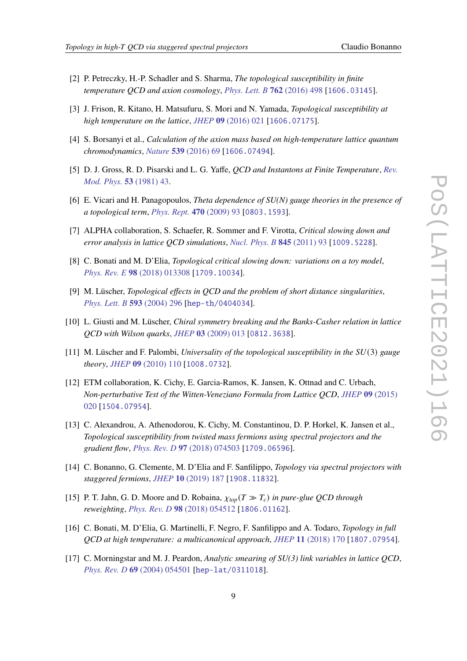- [2] P. Petreczky, H.-P. Schadler and S. Sharma, *The topological susceptibility in finite temperature QCD and axion cosmology*, *[Phys. Lett. B](https://doi.org/10.1016/j.physletb.2016.09.063)* **762** (2016) 498 [[1606.03145](https://arxiv.org/abs/1606.03145)].
- [3] J. Frison, R. Kitano, H. Matsufuru, S. Mori and N. Yamada, *Topological susceptibility at high temperature on the lattice*, *JHEP* **09** [\(2016\) 021](https://doi.org/10.1007/JHEP09(2016)021) [[1606.07175](https://arxiv.org/abs/1606.07175)].
- <span id="page-8-0"></span>[4] S. Borsanyi et al., *Calculation of the axion mass based on high-temperature lattice quantum chromodynamics*, *Nature* **539** [\(2016\) 69](https://doi.org/10.1038/nature20115) [[1606.07494](https://arxiv.org/abs/1606.07494)].
- <span id="page-8-1"></span>[5] D. J. Gross, R. D. Pisarski and L. G. Yaffe, *QCD and Instantons at Finite Temperature*, *[Rev.](https://doi.org/10.1103/RevModPhys.53.43) [Mod. Phys.](https://doi.org/10.1103/RevModPhys.53.43)* **53** (1981) 43.
- <span id="page-8-2"></span>[6] E. Vicari and H. Panagopoulos, *Theta dependence of SU(N) gauge theories in the presence of a topological term*, *[Phys. Rept.](https://doi.org/10.1016/j.physrep.2008.10.001)* **470** (2009) 93 [[0803.1593](https://arxiv.org/abs/0803.1593)].
- [7] ALPHA collaboration, S. Schaefer, R. Sommer and F. Virotta, *Critical slowing down and error analysis in lattice QCD simulations*, *[Nucl. Phys. B](https://doi.org/10.1016/j.nuclphysb.2010.11.020)* **845** (2011) 93 [[1009.5228](https://arxiv.org/abs/1009.5228)].
- <span id="page-8-3"></span>[8] C. Bonati and M. D'Elia, *Topological critical slowing down: variations on a toy model*, *Phys. Rev. E* **98** [\(2018\) 013308](https://doi.org/10.1103/PhysRevE.98.013308) [[1709.10034](https://arxiv.org/abs/1709.10034)].
- <span id="page-8-4"></span>[9] M. Lüscher, *Topological effects in QCD and the problem of short distance singularities*, *[Phys. Lett. B](https://doi.org/10.1016/j.physletb.2004.04.076)* **593** (2004) 296 [[hep-th/0404034](https://arxiv.org/abs/hep-th/0404034)].
- [10] L. Giusti and M. Lüscher, *Chiral symmetry breaking and the Banks-Casher relation in lattice QCD with Wilson quarks*, *JHEP* **03** [\(2009\) 013](https://doi.org/10.1088/1126-6708/2009/03/013) [[0812.3638](https://arxiv.org/abs/0812.3638)].
- [11] M. Lüscher and F. Palombi, *Universality of the topological susceptibility in the*  $SU(3)$  *gauge theory*, *JHEP* **09** [\(2010\) 110](https://doi.org/10.1007/JHEP09(2010)110) [[1008.0732](https://arxiv.org/abs/1008.0732)].
- [12] ETM collaboration, K. Cichy, E. Garcia-Ramos, K. Jansen, K. Ottnad and C. Urbach, *Non-perturbative Test of the Witten-Veneziano Formula from Lattice QCD*, *JHEP* **09** [\(2015\)](https://doi.org/10.1007/JHEP09(2015)020) [020](https://doi.org/10.1007/JHEP09(2015)020) [[1504.07954](https://arxiv.org/abs/1504.07954)].
- <span id="page-8-5"></span>[13] C. Alexandrou, A. Athenodorou, K. Cichy, M. Constantinou, D. P. Horkel, K. Jansen et al., *Topological susceptibility from twisted mass fermions using spectral projectors and the gradient flow*, *Phys. Rev. D* **97** [\(2018\) 074503](https://doi.org/10.1103/PhysRevD.97.074503) [[1709.06596](https://arxiv.org/abs/1709.06596)].
- <span id="page-8-6"></span>[14] C. Bonanno, G. Clemente, M. D'Elia and F. Sanfilippo, *Topology via spectral projectors with staggered fermions*, *JHEP* **10** [\(2019\) 187](https://doi.org/10.1007/JHEP10(2019)187) [[1908.11832](https://arxiv.org/abs/1908.11832)].
- <span id="page-8-7"></span>[15] P. T. Jahn, G. D. Moore and D. Robaina,  $\chi_{top}(T \gg T_c)$  *in pure-glue QCD through reweighting*, *Phys. Rev. D* **98** [\(2018\) 054512](https://doi.org/10.1103/PhysRevD.98.054512) [[1806.01162](https://arxiv.org/abs/1806.01162)].
- <span id="page-8-8"></span>[16] C. Bonati, M. D'Elia, G. Martinelli, F. Negro, F. Sanfilippo and A. Todaro, *Topology in full QCD at high temperature: a multicanonical approach*, *JHEP* **11** [\(2018\) 170](https://doi.org/10.1007/JHEP11(2018)170) [[1807.07954](https://arxiv.org/abs/1807.07954)].
- <span id="page-8-9"></span>[17] C. Morningstar and M. J. Peardon, *Analytic smearing of SU(3) link variables in lattice QCD*, *Phys. Rev. D* **69** [\(2004\) 054501](https://doi.org/10.1103/PhysRevD.69.054501) [[hep-lat/0311018](https://arxiv.org/abs/hep-lat/0311018)].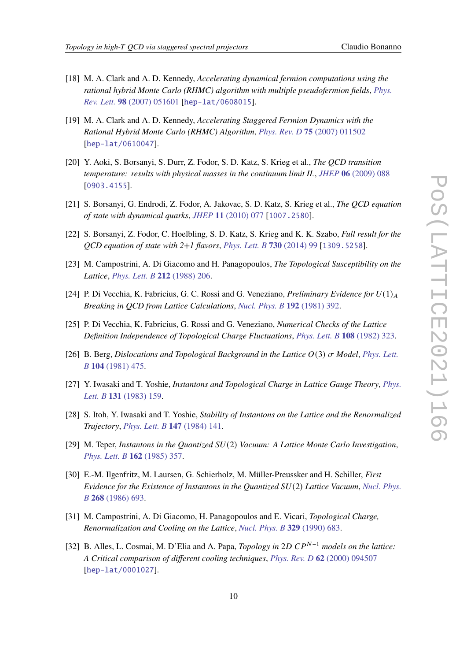- <span id="page-9-0"></span>[18] M. A. Clark and A. D. Kennedy, *Accelerating dynamical fermion computations using the rational hybrid Monte Carlo (RHMC) algorithm with multiple pseudofermion fields*, *[Phys.](https://doi.org/10.1103/PhysRevLett.98.051601) Rev. Lett.* **98** [\(2007\) 051601](https://doi.org/10.1103/PhysRevLett.98.051601) [[hep-lat/0608015](https://arxiv.org/abs/hep-lat/0608015)].
- <span id="page-9-1"></span>[19] M. A. Clark and A. D. Kennedy, *Accelerating Staggered Fermion Dynamics with the Rational Hybrid Monte Carlo (RHMC) Algorithm*, *Phys. Rev. D* **75** [\(2007\) 011502](https://doi.org/10.1103/PhysRevD.75.011502) [[hep-lat/0610047](https://arxiv.org/abs/hep-lat/0610047)].
- <span id="page-9-2"></span>[20] Y. Aoki, S. Borsanyi, S. Durr, Z. Fodor, S. D. Katz, S. Krieg et al., *The QCD transition temperature: results with physical masses in the continuum limit II.*, *JHEP* **06** [\(2009\) 088](https://doi.org/10.1088/1126-6708/2009/06/088) [[0903.4155](https://arxiv.org/abs/0903.4155)].
- [21] S. Borsanyi, G. Endrodi, Z. Fodor, A. Jakovac, S. D. Katz, S. Krieg et al., *The QCD equation of state with dynamical quarks*, *JHEP* **11** [\(2010\) 077](https://doi.org/10.1007/JHEP11(2010)077) [[1007.2580](https://arxiv.org/abs/1007.2580)].
- <span id="page-9-3"></span>[22] S. Borsanyi, Z. Fodor, C. Hoelbling, S. D. Katz, S. Krieg and K. K. Szabo, *Full result for the QCD equation of state with 2+1 flavors*, *[Phys. Lett. B](https://doi.org/10.1016/j.physletb.2014.01.007)* **730** (2014) 99 [[1309.5258](https://arxiv.org/abs/1309.5258)].
- <span id="page-9-4"></span>[23] M. Campostrini, A. Di Giacomo and H. Panagopoulos, *The Topological Susceptibility on the Lattice*, *[Phys. Lett. B](https://doi.org/10.1016/0370-2693(88)90526-6)* **212** (1988) 206.
- [24] P. Di Vecchia, K. Fabricius, G. C. Rossi and G. Veneziano, *Preliminary Evidence for*  $U(1)_A$ *Breaking in QCD from Lattice Calculations*, *[Nucl. Phys. B](https://doi.org/10.1016/0550-3213(81)90432-6)* **192** (1981) 392.
- <span id="page-9-5"></span>[25] P. Di Vecchia, K. Fabricius, G. Rossi and G. Veneziano, *Numerical Checks of the Lattice Definition Independence of Topological Charge Fluctuations*, *[Phys. Lett. B](https://doi.org/10.1016/0370-2693(82)91203-5)* **108** (1982) 323.
- <span id="page-9-6"></span>[26] B. Berg, *Dislocations and Topological Background in the Lattice*  $O(3)$   $\sigma$  *Model*, *[Phys. Lett.](https://doi.org/10.1016/0370-2693(81)90518-9) B* **104** [\(1981\) 475.](https://doi.org/10.1016/0370-2693(81)90518-9)
- [27] Y. Iwasaki and T. Yoshie, *Instantons and Topological Charge in Lattice Gauge Theory*, *[Phys.](https://doi.org/10.1016/0370-2693(83)91111-5) Lett. B* **131** [\(1983\) 159.](https://doi.org/10.1016/0370-2693(83)91111-5)
- [28] S. Itoh, Y. Iwasaki and T. Yoshie, *Stability of Instantons on the Lattice and the Renormalized Trajectory*, *[Phys. Lett. B](https://doi.org/10.1016/0370-2693(84)90609-9)* **147** (1984) 141.
- [29] M. Teper, *Instantons in the Quantized SU(2) Vacuum: A Lattice Monte Carlo Investigation*, *[Phys. Lett. B](https://doi.org/10.1016/0370-2693(85)90939-6)* **162** (1985) 357.
- [30] E.-M. Ilgenfritz, M. Laursen, G. Schierholz, M. Müller-Preussker and H. Schiller, *First Evidence for the Existence of Instantons in the Quantized* (2) *Lattice Vacuum*, *[Nucl. Phys.](https://doi.org/10.1016/0550-3213(86)90265-8) B* **268** [\(1986\) 693.](https://doi.org/10.1016/0550-3213(86)90265-8)
- [31] M. Campostrini, A. Di Giacomo, H. Panagopoulos and E. Vicari, *Topological Charge, Renormalization and Cooling on the Lattice*, *[Nucl. Phys. B](https://doi.org/10.1016/0550-3213(90)90077-Q)* **329** (1990) 683.
- <span id="page-9-7"></span>[32] B. Alles, L. Cosmai, M. D'Elia and A. Papa, *Topology in* 2D  $\mathbb{CP}^{N-1}$  *models on the lattice: A Critical comparison of different cooling techniques*, *Phys. Rev. D* **62** [\(2000\) 094507](https://doi.org/10.1103/PhysRevD.62.094507) [[hep-lat/0001027](https://arxiv.org/abs/hep-lat/0001027)].